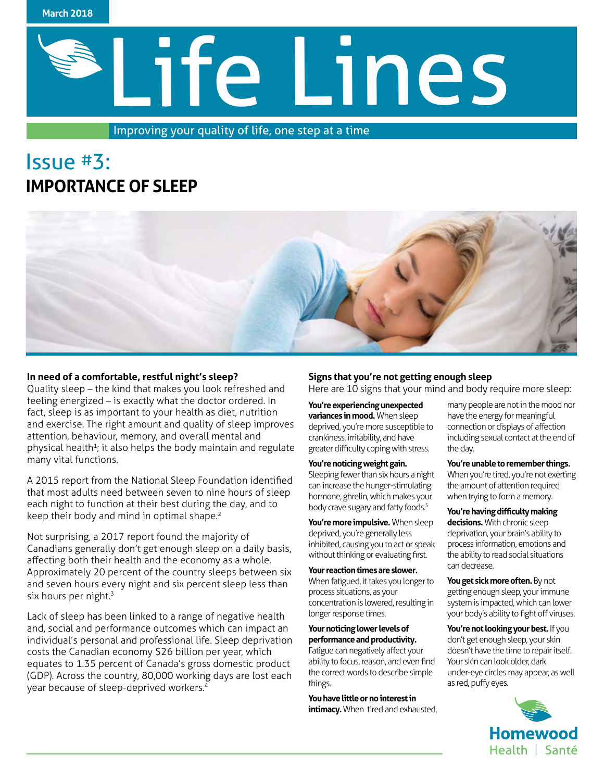

# Life Lines

Improving your quality of life, one step at a time

# Issue #3: **IMPORTANCE OF SLEEP**



# **In need of a comfortable, restful night's sleep?**

Quality sleep – the kind that makes you look refreshed and feeling energized – is exactly what the doctor ordered. In fact, sleep is as important to your health as diet, nutrition and exercise. The right amount and quality of sleep improves attention, behaviour, memory, and overall mental and physical health<sup>1</sup>; it also helps the body maintain and regulate many vital functions.

A 2015 report from the National Sleep Foundation identified that most adults need between seven to nine hours of sleep each night to function at their best during the day, and to keep their body and mind in optimal shape.<sup>2</sup>

Not surprising, a 2017 report found the majority of Canadians generally don't get enough sleep on a daily basis, affecting both their health and the economy as a whole. Approximately 20 percent of the country sleeps between six and seven hours every night and six percent sleep less than six hours per night. $3$ 

Lack of sleep has been linked to a range of negative health and, social and performance outcomes which can impact an individual's personal and professional life. Sleep deprivation costs the Canadian economy \$26 billion per year, which equates to 1.35 percent of Canada's gross domestic product (GDP). Across the country, 80,000 working days are lost each year because of sleep-deprived workers.4

# **Signs that you're not getting enough sleep**

Here are 10 signs that your mind and body require more sleep:

**You're experiencing unexpected variances in mood.** When sleep deprived, you're more susceptible to crankiness, irritability, and have greater difficulty coping with stress.

#### **You're noticing weight gain.**

Sleeping fewer than six hours a night can increase the hunger-stimulating hormone, ghrelin, which makes your body crave sugary and fatty foods.<sup>5</sup>

**You're more impulsive.** When sleep deprived, you're generally less inhibited, causing you to act or speak without thinking or evaluating first.

#### **Your reaction times are slower.**

When fatigued, it takes you longer to process situations, as your concentration is lowered, resulting in longer response times.

#### **Your noticing lower levels of performance and productivity.**

Fatigue can negatively affect your ability to focus, reason, and even find the correct words to describe simple things.

**You have little or no interest in intimacy.** When tired and exhausted, many people are not in the mood nor have the energy for meaningful connection or displays of affection including sexual contact at the end of the day.

#### **You're unable to remember things.**

When you're tired, you're not exerting the amount of attention required when trying to form a memory.

**You're having difficulty making** 

**decisions.** With chronic sleep deprivation, your brain's ability to process information, emotions and the ability to read social situations can decrease.

**You get sick more often.** By not getting enough sleep, your immune system is impacted, which can lower your body's ability to fight off viruses.

**You're not looking your best.** If you don't get enough sleep, your skin doesn't have the time to repair itself. Your skin can look older, dark under-eye circles may appear, as well as red, puffy eyes.

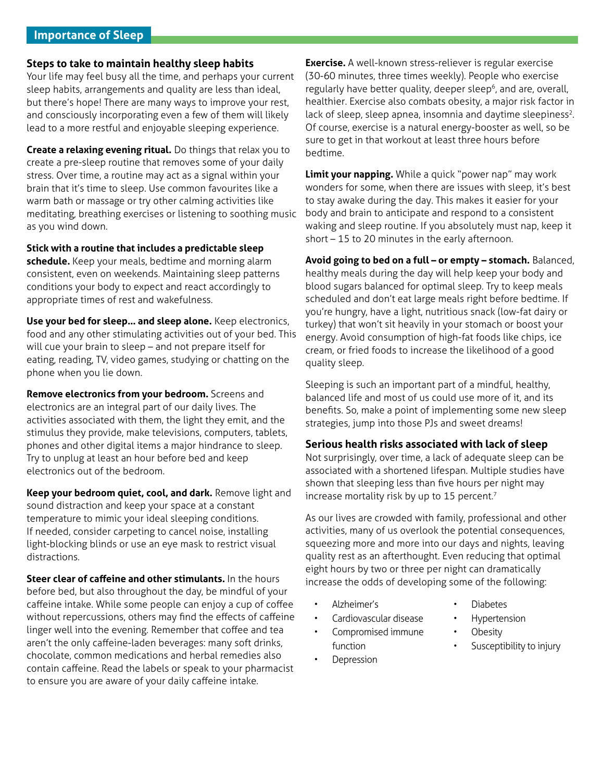# **Importance of Sleep**

### **Steps to take to maintain healthy sleep habits**

Your life may feel busy all the time, and perhaps your current sleep habits, arrangements and quality are less than ideal, but there's hope! There are many ways to improve your rest, and consciously incorporating even a few of them will likely lead to a more restful and enjoyable sleeping experience.

**Create a relaxing evening ritual.** Do things that relax you to create a pre-sleep routine that removes some of your daily stress. Over time, a routine may act as a signal within your brain that it's time to sleep. Use common favourites like a warm bath or massage or try other calming activities like meditating, breathing exercises or listening to soothing music as you wind down.

**Stick with a routine that includes a predictable sleep schedule.** Keep your meals, bedtime and morning alarm consistent, even on weekends. Maintaining sleep patterns conditions your body to expect and react accordingly to appropriate times of rest and wakefulness.

**Use your bed for sleep… and sleep alone.** Keep electronics, food and any other stimulating activities out of your bed. This will cue your brain to sleep – and not prepare itself for eating, reading, TV, video games, studying or chatting on the phone when you lie down.

**Remove electronics from your bedroom.** Screens and electronics are an integral part of our daily lives. The activities associated with them, the light they emit, and the stimulus they provide, make televisions, computers, tablets, phones and other digital items a major hindrance to sleep. Try to unplug at least an hour before bed and keep electronics out of the bedroom.

**Keep your bedroom quiet, cool, and dark.** Remove light and sound distraction and keep your space at a constant temperature to mimic your ideal sleeping conditions. If needed, consider carpeting to cancel noise, installing light-blocking blinds or use an eye mask to restrict visual distractions.

**Steer clear of caffeine and other stimulants.** In the hours before bed, but also throughout the day, be mindful of your caffeine intake. While some people can enjoy a cup of coffee without repercussions, others may find the effects of caffeine linger well into the evening. Remember that coffee and tea aren't the only caffeine-laden beverages: many soft drinks, chocolate, common medications and herbal remedies also contain caffeine. Read the labels or speak to your pharmacist to ensure you are aware of your daily caffeine intake.

**Exercise.** A well-known stress-reliever is regular exercise (30-60 minutes, three times weekly). People who exercise regularly have better quality, deeper sleep<sup>6</sup>, and are, overall, healthier. Exercise also combats obesity, a major risk factor in lack of sleep, sleep apnea, insomnia and daytime sleepiness<sup>2</sup>. Of course, exercise is a natural energy-booster as well, so be sure to get in that workout at least three hours before bedtime.

**Limit your napping.** While a quick "power nap" may work wonders for some, when there are issues with sleep, it's best to stay awake during the day. This makes it easier for your body and brain to anticipate and respond to a consistent waking and sleep routine. If you absolutely must nap, keep it short – 15 to 20 minutes in the early afternoon.

**Avoid going to bed on a full – or empty – stomach.** Balanced, healthy meals during the day will help keep your body and blood sugars balanced for optimal sleep. Try to keep meals scheduled and don't eat large meals right before bedtime. If you're hungry, have a light, nutritious snack (low-fat dairy or turkey) that won't sit heavily in your stomach or boost your energy. Avoid consumption of high-fat foods like chips, ice cream, or fried foods to increase the likelihood of a good quality sleep.

Sleeping is such an important part of a mindful, healthy, balanced life and most of us could use more of it, and its benefits. So, make a point of implementing some new sleep strategies, jump into those PJs and sweet dreams!

## **Serious health risks associated with lack of sleep**

Not surprisingly, over time, a lack of adequate sleep can be associated with a shortened lifespan. Multiple studies have shown that sleeping less than five hours per night may increase mortality risk by up to 15 percent.<sup>7</sup>

As our lives are crowded with family, professional and other activities, many of us overlook the potential consequences, squeezing more and more into our days and nights, leaving quality rest as an afterthought. Even reducing that optimal eight hours by two or three per night can dramatically increase the odds of developing some of the following:

- Alzheimer's
- Cardiovascular disease
- Compromised immune
- function
- **Depression**
- Diabetes
- **Hypertension**
- **Obesity**
- Susceptibility to injury